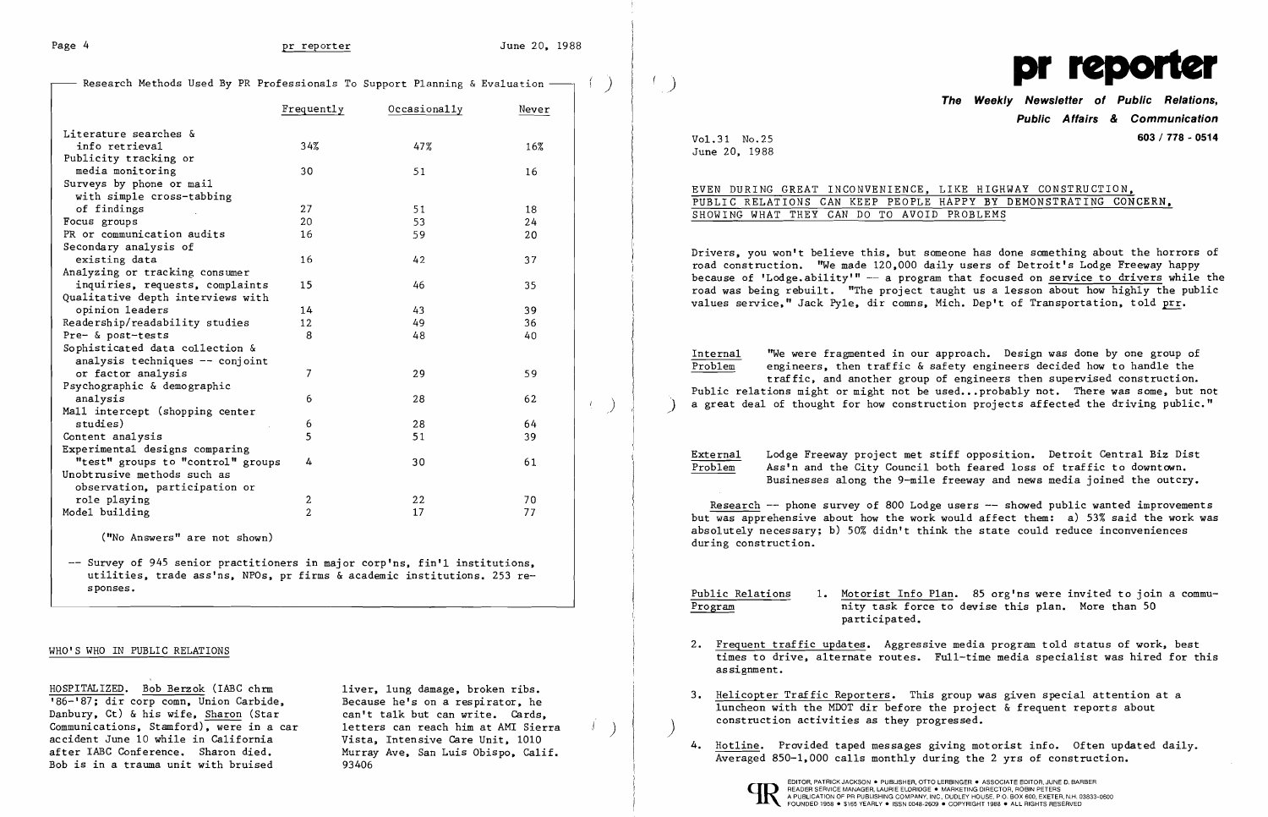Research Methods Used By PR Professionals To Support Planning & Evaluation -

|                                   | Occasionally<br>Frequently |     | Never |  |
|-----------------------------------|----------------------------|-----|-------|--|
| Literature searches &             |                            |     |       |  |
| info retrieval                    | 34%                        | 47% | 16%   |  |
| Publicity tracking or             |                            |     |       |  |
| media monitoring                  | 30                         | 51  | 16    |  |
| Surveys by phone or mail          |                            |     |       |  |
| with simple cross-tabbing         |                            |     |       |  |
| of findings                       | 27                         | 51  | 18    |  |
| Focus groups                      | 20                         | 53  | 24    |  |
| PR or communication audits        | 16                         | 59  | 20    |  |
| Secondary analysis of             |                            |     |       |  |
| existing data                     | 16                         | 42  | 37    |  |
| Analyzing or tracking consumer    |                            |     |       |  |
| inquiries, requests, complaints   | 15                         | 46  | 35    |  |
| Qualitative depth interviews with |                            |     |       |  |
| opinion leaders                   | 14                         | 43  | 39    |  |
| Readership/readability studies    | 12                         | 49  | 36    |  |
| Pre- & post-tests                 | 8                          | 48  | 40    |  |
| Sophisticated data collection &   |                            |     |       |  |
| analysis techniques -- conjoint   |                            |     |       |  |
| or factor analysis                | 7                          | 29  | 59    |  |
| Psychographic & demographic       |                            |     |       |  |
| analysis                          | 6                          | 28  | 62    |  |
| Mall intercept (shopping center   |                            |     |       |  |
| studies)                          | 6                          | 28  | 64    |  |
| Content analysis                  | 5                          | 51  | 39    |  |
| Experimental designs comparing    |                            |     |       |  |
| "test" groups to "control" groups | 4                          | 30  | 61    |  |
| Unobtrusive methods such as       |                            |     |       |  |
| observation, participation or     |                            |     |       |  |
| role playing                      | 2                          | 22  | 70    |  |
| Model building                    | $\overline{2}$             | 17  | 77    |  |

-- Survey of 945 senior practitioners in major corp'ns, fin'l institutions, utilities, trade ass'ns, NPOs, pr firms & academic institutions. 253 responses.

Drivers, you won't believe this, but someone has done something about the horrors of road construction. "We made 120,000 daily users of Detroit's Lodge Freeway happy because of 'Lodge.ability'"  $-$  a program that focused on service to drivers while the road was being rebuilt. "The project taught us a lesson about how highly the public values service." Jack Pyle. dir comns. Mich. Dep't of Transportation, told prr.

Internal  $'$  "We were fragmented in our approach. Design was done by one group of  $P_{\text{roblem}}$  engineers, then traffic & safety engineers decided how to handle the engineers, then traffic & safety engineers decided how to handle the traffic, and another group of engineers then supervised construction. Public relations might or might not be used... probably not. There was some, but not a great deal of thought for how construction projects affected the driving public."

("No Answers" are not shown)

## WHO'S WHO IN PUBLIC RELATIONS

HOSPITALIZED. Bob Berzok (IABC chrm liver, lung damage, broken ribs.<br>186-187; dir corp comn, Union Carbide, Because he's on a respirator, he Danbury, Ct) & his wife, Sharon (Star Communications, Stamford), were in a car letters can reach him at AMI Sierra<br>
2 accident June 10 while in California Vista. Intensive Care Unit. 1010 after IABC Conference. Sharon died. Murray Ave. San Luis Obispo. Calif. Bob is in a trauma unit with bruised 93406

Because he's on a respirator, he<br>can't talk but can write. Cards.

External Lodge Freeway project met stiff opposition. Detroit Central Biz Dist<br>Problem Ass'n and the City Council both feared loss of traffic to downtown. Ass'n and the City Council both feared loss of traffic to downtown. Businesses along the 9-mi1e freeway and news media joined the outcry.



**The Weekly Newsletter of Public Relations, Public Affairs & Communication**  Vol.31 No.25 **603 / 778 - 0514** 

> LIKE HIGHWAY CONSTRUCTION. HAPPY BY DEMONSTRATING CONCERN.  $\overline{D}$  PROBLEMS

June 20, 1988

| EVEN DURING GREAT INCONVENIENCE,  |  |  |  |
|-----------------------------------|--|--|--|
| PUBLIC RELATIONS CAN KEEP PEOPLE  |  |  |  |
| SHOWING WHAT THEY CAN DO TO AVOID |  |  |  |

Research -- phone survey of 800 Lodge users -- showed public wanted improvements but was apprehensive about how the work would affect them: a) 53% said the work was absolutely necessary; b) 50% didn't think the state could reduce inconveniences during construction.

Public Relations 1. Motorist Info Plan. 85 org'ns were invited to join a commu-Program nity task force to devise this plan. More than 50 participated.

times to drive, alternate routes. Full-time media specialist was hired for this

- 2. Frequent traffic updates. Aggressive media program told status of work, best assignment.
- 3. Helicopter Traffic Reporters. This group was given special attention at a luncheon with the MDOT dir before the project & frequent reports about construction activities as they progressed. )
- 4. Hotline. Provided taped messages giving motorist info. Often updated daily. Averaged 850-1.000 calls monthly during the 2 yrs of construction.